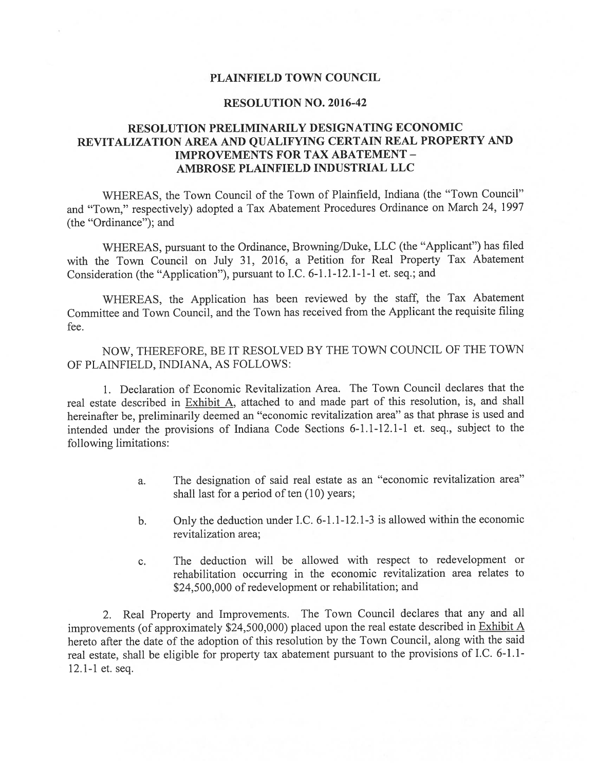#### PLAINFIELD TOWN COUNCIL

### RESOLUTION NO. 2016-42

## RESOLUTION PRELIMINARILY DESIGNATING ECONOMIC REVITALIZATION AREA AND QUALIFYING CERTAIN REAL PROPERTY AND IMPROVEMENTS FOR TAX ABATEMENT - AMBROSE PLAINFIELD INDUSTRIAL LLC

WHEREAS, the Town Council of the Town of Plainfield, Indiana (the "Town Council" and "Town," respectively) adopted <sup>a</sup> Tax Abatement Procedures Ordinance on March 24, <sup>1997</sup> (the "Ordinance"); and

WHEREAS, pursuan<sup>t</sup> to the Ordinance, Browning/Duke, LLC (the "Applicant") has filed with the Town Council on July 31, 2016, <sup>a</sup> Petition for Real Property Tax Abatement Consideration (the "Application"), pursuan<sup>t</sup> to I.C. 6-1.1-12.1-1-1 et. seq.; and

WHEREAS, the Application has been reviewed by the staff, the Tax Abatement Committee and Town Council, and the Town has received from the Applicant the requisite filing fee.

NOW, THEREFORE, BE IT RESOLVED BY THE TOWN COUNCIL OF THE TOWN OF PLAINFIELD, INDIANA, AS FOLLOWS:

1. Declaration of Economic Revitalization Area. The Town Council declares that the real estate described in Exhibit A, attached to and made par<sup>t</sup> of this resolution, is, and shall hereinafter be, preliminarily deemed an "economic revitalization area" as that <sup>p</sup>hrase is used and intended under the provisions of Indiana Code Sections 6-1.1-12.1-1 et. seq., subject to the following limitations:

- a. The designation of said real estate as an "economic revitalization area" shall last for a period of ten  $(10)$  years;
- b. Only the deduction under I.C. 6-1.1-12.1-3 is allowed within the economic revitalization area;
- c. The deduction will be allowed with respec<sup>t</sup> to redevelopment or rehabilitation occurring in the economic revitalization area relates to \$24,500,000 of redevelopment or rehabilitation; and

2. Real Property and Improvements. The Town Council declares that any and all improvements (of approximately  $$24,500,000$ ) placed upon the real estate described in Exhibit A hereto after the date of the adoption of this resolution by the Town Council, along with the said real estate, shall be eligible for property tax abatement pursuan<sup>t</sup> to the provisions of I.C. 6-1.1- 12.1-1 et. seq.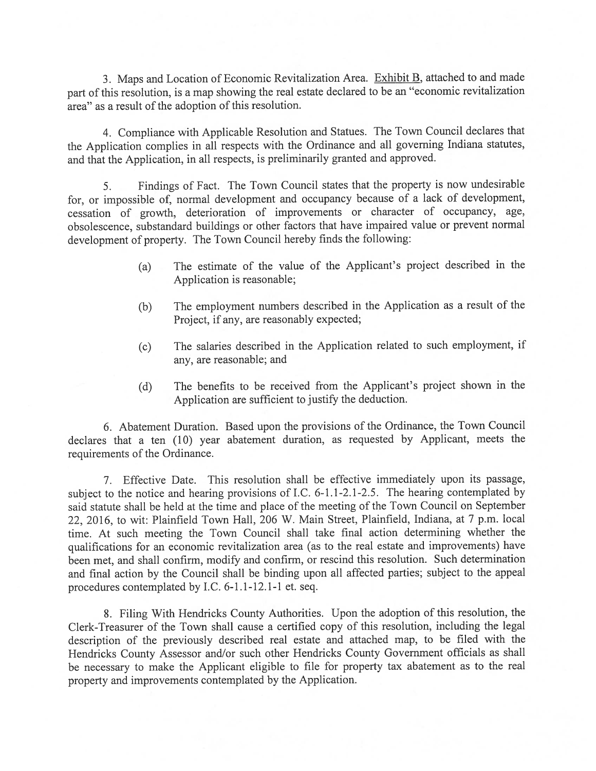3. Maps and Location of Economic Revitalization Area. Exhibit B, attached to and made part of this resolution, is a map showing the real estate declared to be an "economic revitalization area" as a result of the adoption of this resolution.

4. Compliance with Applicable Resolution and Statues. The Town Council declares that the Application complies in all respects with the Ordinance and all governing Indiana statutes, and that the Application, in all respects, is preliminarily granted and approved.

5. Findings of Fact. The Town Council states that the property is now undesirable for, or impossible of, normal development and occupancy because of a lack of development, cessation of growth, deterioration of improvements or character of occupancy, age, obsolescence, substandard buildings or other factors that have impaired value or prevent normal development of property. The Town Council hereby finds the following:

- (a) The estimate of the value of the Applicant's project described in the Application is reasonable;
- (b) The employment numbers described in the Application as a result of the Project, if any, are reasonably expected;
- (c) The salaries described in the Application related to such employment, if any, are reasonable; and
- (d) The benefits to be received from the Applicant's project shown in the Application are sufficient to justify the deduction.

6. Abatement Duration. Based upon the provisions of the Ordinance, the Town Council declares that a ten (10) year abatement duration, as requested by Applicant, meets the requirements of the Ordinance.

7. Effective Date. This resolution shall be effective immediately upon its passage, subject to the notice and hearing provisions of I.C. 6-1.1-2.1-2.5. The hearing contemplated by said statute shall be held at the time and place of the meeting of the Town Council on September 22, 2016, to wit: Plainfield Town Hall, 206 W. Main Street, Plainfield, Indiana. at 7 p.m. local time. At such meeting the Town Council shall take final action determining whether the qualifications for an economic revitalization area (as to the real estate and improvements) have been met, and shall confirm, modify and confirm, or rescind this resolution. Such determination and final action by the Council shall be binding upon all affected parties; subject to the appeal procedures contemplated by I.C. 6-1.1-12.1-1 et. seq.

8. Filing With Hendricks County Authorities. Upon the adoption of this resolution, the Clerk-Treasurer of the Town shall cause a certified copy of this resolution, including the legal description of the previously described real estate and attached map, to be filed with the Hendricks County Assessor and/or such other Hendricks County Government officials as shall be necessary to make the Applicant eligible to file for property tax abatement as to the real property and improvements contemplated by the Application.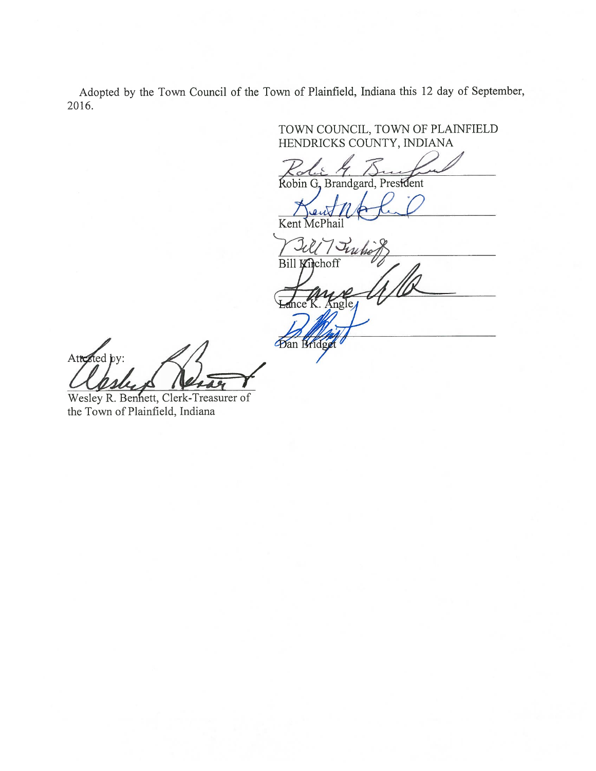Adopted by the Town Council of the Town of Plainfield, Indiana this 12 day of September, 2016.

Ban Bridg

TOWN COJNCIL, TOWN OF PLAINFIELD

HENDRICKS COUNTY, INDIANA

Robin G, Brandgard, President

Kent McPhail

 $7$ True Bill Kirchoff  $n\sigma$ 

Atted by:

Wesley R. Benhett, Clerk-Treasurer of the Town of Plainfield, Indiana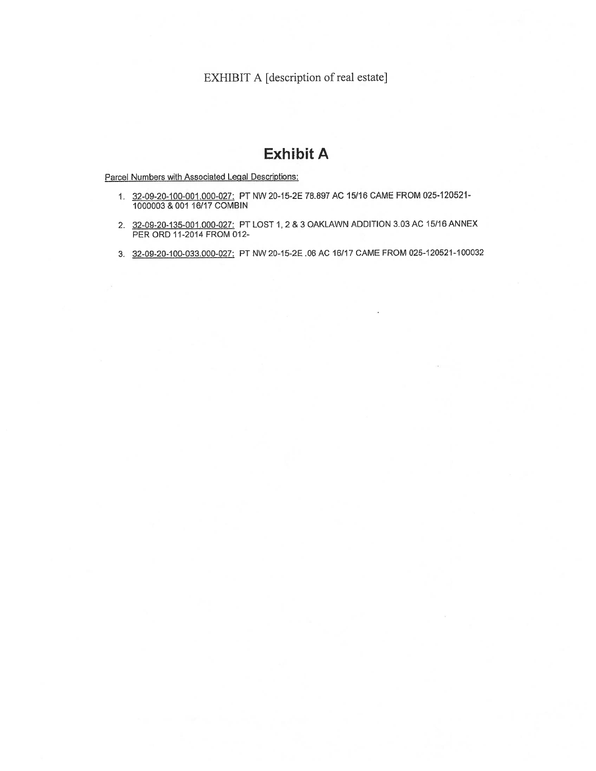EXHIBIT A [description of real estate]

# Exhibit A

Parcel Numbers with Associated Legal Descriptions:

- 32-09-20-100-001 .000-02?: PT NW 20-15-2E 76.897 AC 15/16 CAME FROM 025-120521- 1000003 &OO1 16117 COMBIN
- 2. 32-09-20-135-001.000-027: PT LOST 1, 2 & 3 OAKLAWN ADDITION 3.03 AC 15/16 ANNEX PER ORD 11-2014 FROM 012-
- 3. 32-09-20-100-033.000-027: PT NW 20-15-2E .06 AC 16/17 CAME FROM 025-120521-100032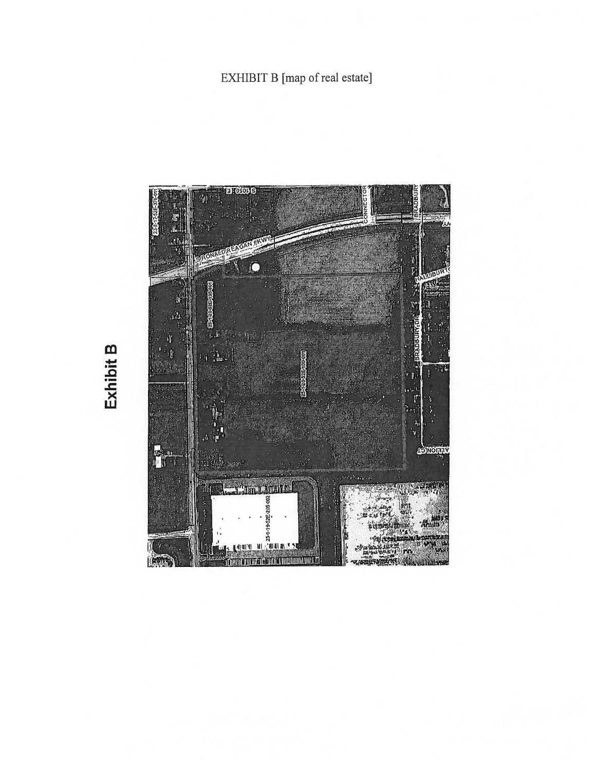# EXHIBIT B [map of real estate]



Exhibit B